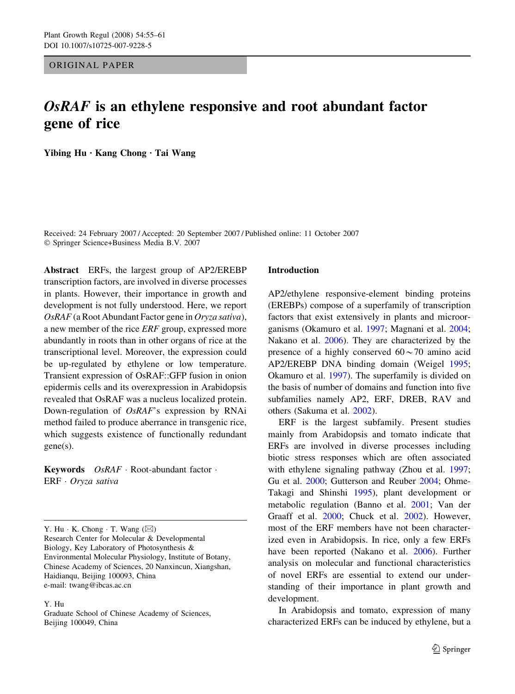ORIGINAL PAPER

# OsRAF is an ethylene responsive and root abundant factor gene of rice

Yibing  $Hu \cdot$  Kang Chong  $\cdot$  Tai Wang

Received: 24 February 2007 / Accepted: 20 September 2007 / Published online: 11 October 2007 Springer Science+Business Media B.V. 2007

Abstract ERFs, the largest group of AP2/EREBP transcription factors, are involved in diverse processes in plants. However, their importance in growth and development is not fully understood. Here, we report OsRAF (a Root Abundant Factor gene in Oryza sativa), a new member of the rice ERF group, expressed more abundantly in roots than in other organs of rice at the transcriptional level. Moreover, the expression could be up-regulated by ethylene or low temperature. Transient expression of OsRAF::GFP fusion in onion epidermis cells and its overexpression in Arabidopsis revealed that OsRAF was a nucleus localized protein. Down-regulation of OsRAF's expression by RNAi method failed to produce aberrance in transgenic rice, which suggests existence of functionally redundant gene(s).

**Keywords**  $OsRAF \cdot \text{Root-abundant factor} \cdot$ ERF · Oryza sativa

Y. Hu  $\cdot$  K. Chong  $\cdot$  T. Wang  $(\boxtimes)$ 

Research Center for Molecular & Developmental Biology, Key Laboratory of Photosynthesis & Environmental Molecular Physiology, Institute of Botany, Chinese Academy of Sciences, 20 Nanxincun, Xiangshan, Haidianqu, Beijing 100093, China e-mail: twang@ibcas.ac.cn

#### Y. Hu

Graduate School of Chinese Academy of Sciences, Beijing 100049, China

# Introduction

AP2/ethylene responsive-element binding proteins (EREBPs) compose of a superfamily of transcription factors that exist extensively in plants and microorganisms (Okamuro et al. [1997;](#page-6-0) Magnani et al. [2004](#page-6-0); Nakano et al. [2006\)](#page-6-0). They are characterized by the presence of a highly conserved  $60 \sim 70$  amino acid AP2/EREBP DNA binding domain (Weigel [1995](#page-6-0); Okamuro et al. [1997](#page-6-0)). The superfamily is divided on the basis of number of domains and function into five subfamilies namely AP2, ERF, DREB, RAV and others (Sakuma et al. [2002](#page-6-0)).

ERF is the largest subfamily. Present studies mainly from Arabidopsis and tomato indicate that ERFs are involved in diverse processes including biotic stress responses which are often associated with ethylene signaling pathway (Zhou et al. [1997](#page-6-0); Gu et al. [2000](#page-6-0); Gutterson and Reuber [2004;](#page-6-0) Ohme-Takagi and Shinshi [1995\)](#page-6-0), plant development or metabolic regulation (Banno et al. [2001](#page-5-0); Van der Graaff et al. [2000;](#page-6-0) Chuck et al. [2002\)](#page-5-0). However, most of the ERF members have not been characterized even in Arabidopsis. In rice, only a few ERFs have been reported (Nakano et al. [2006](#page-6-0)). Further analysis on molecular and functional characteristics of novel ERFs are essential to extend our understanding of their importance in plant growth and development.

In Arabidopsis and tomato, expression of many characterized ERFs can be induced by ethylene, but a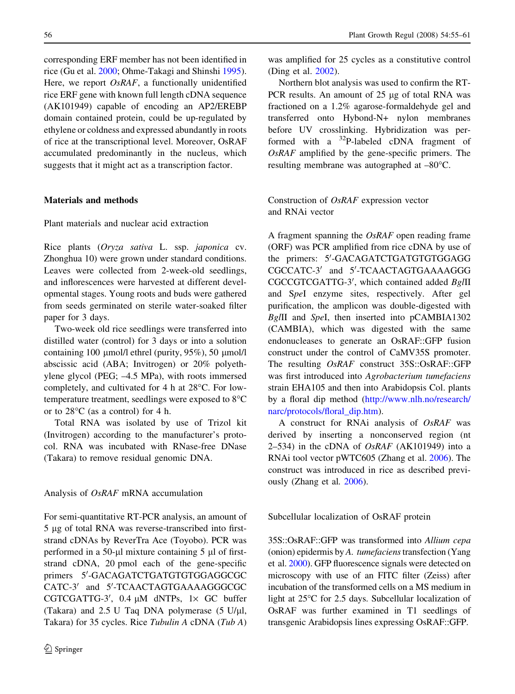corresponding ERF member has not been identified in rice (Gu et al. [2000](#page-6-0); Ohme-Takagi and Shinshi [1995](#page-6-0)). Here, we report *OsRAF*, a functionally unidentified rice ERF gene with known full length cDNA sequence (AK101949) capable of encoding an AP2/EREBP domain contained protein, could be up-regulated by ethylene or coldness and expressed abundantly in roots of rice at the transcriptional level. Moreover, OsRAF accumulated predominantly in the nucleus, which suggests that it might act as a transcription factor.

## Materials and methods

Plant materials and nuclear acid extraction

Rice plants (Oryza sativa L. ssp. japonica cv. Zhonghua 10) were grown under standard conditions. Leaves were collected from 2-week-old seedlings, and inflorescences were harvested at different developmental stages. Young roots and buds were gathered from seeds germinated on sterile water-soaked filter paper for 3 days.

Two-week old rice seedlings were transferred into distilled water (control) for 3 days or into a solution containing 100 µmol/l ethrel (purity, 95%), 50 µmol/l abscissic acid (ABA; Invitrogen) or 20% polyethylene glycol (PEG; –4.5 MPa), with roots immersed completely, and cultivated for  $4 \text{ h}$  at  $28^{\circ}$ C. For lowtemperature treatment, seedlings were exposed to 8°C or to  $28^{\circ}$ C (as a control) for 4 h.

Total RNA was isolated by use of Trizol kit (Invitrogen) according to the manufacturer's protocol. RNA was incubated with RNase-free DNase (Takara) to remove residual genomic DNA.

Analysis of OsRAF mRNA accumulation

For semi-quantitative RT-PCR analysis, an amount of 5 lg of total RNA was reverse-transcribed into firststrand cDNAs by ReverTra Ace (Toyobo). PCR was performed in a 50- $\mu$ l mixture containing 5  $\mu$ l of firststrand cDNA, 20 pmol each of the gene-specific primers 5'-GACAGATCTGATGTGTGGAGGCGC CATC-3' and 5'-TCAACTAGTGAAAAGGGCGC CGTCGATTG-3', 0.4  $\mu$ M dNTPs, 1× GC buffer (Takara) and  $2.5$  U Taq DNA polymerase (5 U/ $\mu$ l, Takara) for 35 cycles. Rice Tubulin A cDNA (Tub A)

was amplified for 25 cycles as a constitutive control (Ding et al. [2002](#page-6-0)).

Northern blot analysis was used to confirm the RT-PCR results. An amount of 25 µg of total RNA was fractioned on a 1.2% agarose-formaldehyde gel and transferred onto Hybond-N+ nylon membranes before UV crosslinking. Hybridization was performed with a 32P-labeled cDNA fragment of OsRAF amplified by the gene-specific primers. The resulting membrane was autographed at  $-80^{\circ}$ C.

Construction of OsRAF expression vector and RNAi vector

A fragment spanning the OsRAF open reading frame (ORF) was PCR amplified from rice cDNA by use of the primers: 5'-GACAGATCTGATGTGTGGAGG CGCCATC-3' and 5'-TCAACTAGTGAAAAGGG CGCCGTCGATTG-3', which contained added BglII and SpeI enzyme sites, respectively. After gel purification, the amplicon was double-digested with BglII and SpeI, then inserted into pCAMBIA1302 (CAMBIA), which was digested with the same endonucleases to generate an OsRAF::GFP fusion construct under the control of CaMV35S promoter. The resulting OsRAF construct 35S::OsRAF::GFP was first introduced into Agrobacterium tumefaciens strain EHA105 and then into Arabidopsis Col. plants by a floral dip method [\(http://www.nlh.no/research/](http://www.nlh.no/research/narc/protocols/floral_dip.htm) [narc/protocols/floral\\_dip.htm\)](http://www.nlh.no/research/narc/protocols/floral_dip.htm).

A construct for RNAi analysis of OsRAF was derived by inserting a nonconserved region (nt 2–534) in the cDNA of  $OsRAF$  (AK101949) into a RNAi tool vector pWTC605 (Zhang et al. [2006](#page-6-0)). The construct was introduced in rice as described previously (Zhang et al. [2006\)](#page-6-0).

Subcellular localization of OsRAF protein

35S::OsRAF::GFP was transformed into Allium cepa (onion) epidermis by  $A$ . tumefaciens transfection (Yang et al. [2000](#page-6-0)). GFP fluorescence signals were detected on microscopy with use of an FITC filter (Zeiss) after incubation of the transformed cells on a MS medium in light at 25°C for 2.5 days. Subcellular localization of OsRAF was further examined in T1 seedlings of transgenic Arabidopsis lines expressing OsRAF::GFP.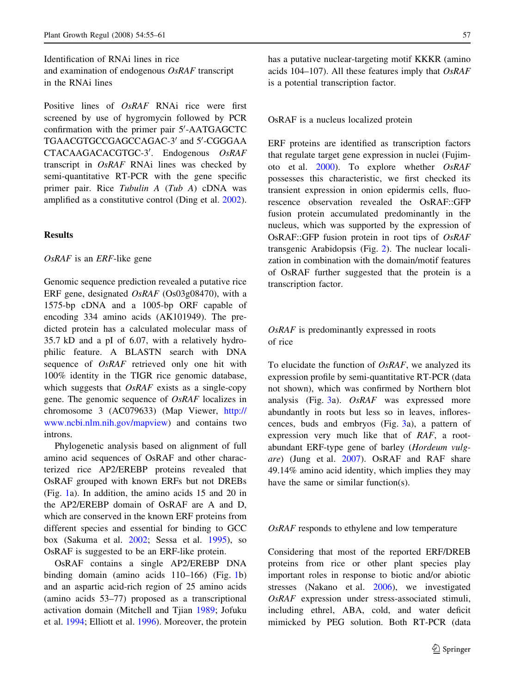Identification of RNAi lines in rice and examination of endogenous OsRAF transcript in the RNAi lines

Positive lines of OsRAF RNAi rice were first screened by use of hygromycin followed by PCR confirmation with the primer pair 5'-AATGAGCTC TGAACGTGCCGAGCCAGAC-3' and 5'-CGGGAA CTACAAGACACGTGC-3'. Endogenous OsRAF transcript in OsRAF RNAi lines was checked by semi-quantitative RT-PCR with the gene specific primer pair. Rice Tubulin A (Tub A) cDNA was amplified as a constitutive control (Ding et al. [2002](#page-6-0)).

# Results

#### OsRAF is an ERF-like gene

Genomic sequence prediction revealed a putative rice ERF gene, designated OsRAF (Os03g08470), with a 1575-bp cDNA and a 1005-bp ORF capable of encoding 334 amino acids (AK101949). The predicted protein has a calculated molecular mass of 35.7 kD and a pI of 6.07, with a relatively hydrophilic feature. A BLASTN search with DNA sequence of *OsRAF* retrieved only one hit with 100% identity in the TIGR rice genomic database, which suggests that  $OsRAF$  exists as a single-copy gene. The genomic sequence of OsRAF localizes in chromosome 3 (AC079633) (Map Viewer, [http://](http://www.ncbi.nlm.nih.gov/mapview) [www.ncbi.nlm.nih.gov/mapview](http://www.ncbi.nlm.nih.gov/mapview)) and contains two introns.

Phylogenetic analysis based on alignment of full amino acid sequences of OsRAF and other characterized rice AP2/EREBP proteins revealed that OsRAF grouped with known ERFs but not DREBs (Fig. [1](#page-3-0)a). In addition, the amino acids 15 and 20 in the AP2/EREBP domain of OsRAF are A and D, which are conserved in the known ERF proteins from different species and essential for binding to GCC box (Sakuma et al. [2002;](#page-6-0) Sessa et al. [1995](#page-6-0)), so OsRAF is suggested to be an ERF-like protein.

OsRAF contains a single AP2/EREBP DNA binding domain (amino acids 110–166) (Fig. [1b](#page-3-0)) and an aspartic acid-rich region of 25 amino acids (amino acids 53–77) proposed as a transcriptional activation domain (Mitchell and Tjian [1989](#page-6-0); Jofuku et al. [1994;](#page-6-0) Elliott et al. [1996\)](#page-6-0). Moreover, the protein has a putative nuclear-targeting motif KKKR (amino acids 104–107). All these features imply that  $OsRAF$ is a potential transcription factor.

#### OsRAF is a nucleus localized protein

ERF proteins are identified as transcription factors that regulate target gene expression in nuclei (Fujimoto et al. [2000\)](#page-6-0). To explore whether OsRAF possesses this characteristic, we first checked its transient expression in onion epidermis cells, fluorescence observation revealed the OsRAF::GFP fusion protein accumulated predominantly in the nucleus, which was supported by the expression of OsRAF::GFP fusion protein in root tips of OsRAF transgenic Arabidopsis (Fig. [2\)](#page-4-0). The nuclear localization in combination with the domain/motif features of OsRAF further suggested that the protein is a transcription factor.

# OsRAF is predominantly expressed in roots of rice

To elucidate the function of  $OsRAF$ , we analyzed its expression profile by semi-quantitative RT-PCR (data not shown), which was confirmed by Northern blot analysis (Fig. [3a](#page-5-0)). OsRAF was expressed more abundantly in roots but less so in leaves, inflorescences, buds and embryos (Fig. [3](#page-5-0)a), a pattern of expression very much like that of RAF, a rootabundant ERF-type gene of barley (Hordeum vulgare) (Jung et al. [2007](#page-6-0)). OsRAF and RAF share 49.14% amino acid identity, which implies they may have the same or similar function(s).

#### OsRAF responds to ethylene and low temperature

Considering that most of the reported ERF/DREB proteins from rice or other plant species play important roles in response to biotic and/or abiotic stresses (Nakano et al. [2006\)](#page-6-0), we investigated OsRAF expression under stress-associated stimuli, including ethrel, ABA, cold, and water deficit mimicked by PEG solution. Both RT-PCR (data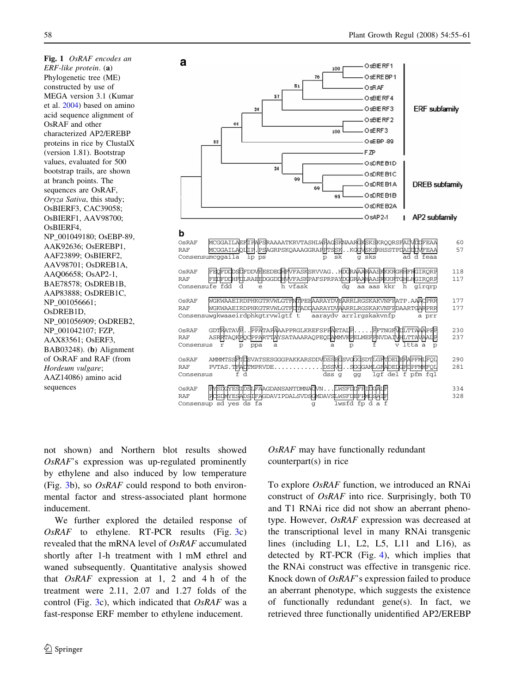<span id="page-3-0"></span>Fig. 1 OsRAF encodes an ERF-like protein. (a) Phylogenetic tree (ME) constructed by use of MEGA version 3.1 (Kumar et al. [2004](#page-6-0)) based on amino acid sequence alignment of OsRAF and other characterized AP2/EREBP proteins in rice by ClustalX (version 1.81). Bootstrap values, evaluated for 500 bootstrap trails, are shown at branch points. The sequences are OsRAF, Oryza Sativa, this study; OsBIERF3, CAC39058; OsBIERF1, AAV98700; OsBIERF4, NP\_001049180; OsEBP-89, AAK92636; OsEREBP1, AAF23899; OsBIERF2, AAV98701; OsDREB1A, AAQ06658; OsAP2-1, BAE78578; OsDREB1B, AAP83888; OsDREB1C, NP\_001056661; OsDREB1D, NP\_001056909; OsDREB2, NP\_001042107; FZP, AAX83561; OsERF3, BAB03248). (b) Alignment of OsRAF and RAF (from Hordeum vulgare; AAZ14086) amino acid sequences



not shown) and Northern blot results showed OsRAF's expression was up-regulated prominently by ethylene and also induced by low temperature (Fig. [3](#page-5-0)b), so  $OsRAF$  could respond to both environmental factor and stress-associated plant hormone inducement.

We further explored the detailed response of  $OsRAF$  to ethylene. RT-PCR results (Fig. [3](#page-5-0)c) revealed that the mRNA level of OsRAF accumulated shortly after 1-h treatment with 1 mM ethrel and waned subsequently. Quantitative analysis showed that  $OsRAF$  expression at 1, 2 and 4 h of the treatment were 2.11, 2.07 and 1.27 folds of the control (Fig. [3c](#page-5-0)), which indicated that  $OsRAF$  was a fast-response ERF member to ethylene inducement.

 $\textcircled{2}$  Springer

OsRAF may have functionally redundant counterpart(s) in rice

To explore OsRAF function, we introduced an RNAi construct of OsRAF into rice. Surprisingly, both T0 and T1 RNAi rice did not show an aberrant phenotype. However, OsRAF expression was decreased at the transcriptional level in many RNAi transgenic lines (including L1, L2, L5, L11 and L16), as detected by RT-PCR (Fig. [4](#page-5-0)), which implies that the RNAi construct was effective in transgenic rice. Knock down of OsRAF's expression failed to produce an aberrant phenotype, which suggests the existence of functionally redundant gene(s). In fact, we retrieved three functionally unidentified AP2/EREBP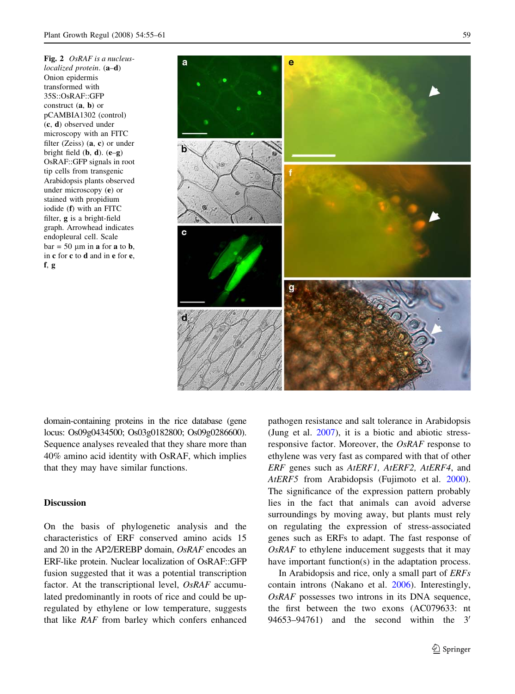<span id="page-4-0"></span>Fig. 2 OsRAF is a nucleuslocalized protein.  $(a-d)$ Onion epidermis transformed with 35S::OsRAF::GFP construct (a, b) or pCAMBIA1302 (control) (c, d) observed under microscopy with an FITC filter (Zeiss)  $(a, c)$  or under bright field  $(b, d)$ .  $(e-g)$ OsRAF::GFP signals in root tip cells from transgenic Arabidopsis plants observed under microscopy (e) or stained with propidium iodide (f) with an FITC filter, g is a bright-field graph. Arrowhead indicates endopleural cell. Scale  $bar = 50 \mu m$  in a for a to b, in c for c to d and in e for e, f, g



domain-containing proteins in the rice database (gene locus: Os09g0434500; Os03g0182800; Os09g0286600). Sequence analyses revealed that they share more than 40% amino acid identity with OsRAF, which implies that they may have similar functions.

# Discussion

On the basis of phylogenetic analysis and the characteristics of ERF conserved amino acids 15 and 20 in the AP2/EREBP domain, OsRAF encodes an ERF-like protein. Nuclear localization of OsRAF::GFP fusion suggested that it was a potential transcription factor. At the transcriptional level, *OsRAF* accumulated predominantly in roots of rice and could be upregulated by ethylene or low temperature, suggests that like RAF from barley which confers enhanced pathogen resistance and salt tolerance in Arabidopsis (Jung et al. [2007](#page-6-0)), it is a biotic and abiotic stressresponsive factor. Moreover, the OsRAF response to ethylene was very fast as compared with that of other ERF genes such as AtERF1, AtERF2, AtERF4, and AtERF5 from Arabidopsis (Fujimoto et al. [2000](#page-6-0)). The significance of the expression pattern probably lies in the fact that animals can avoid adverse surroundings by moving away, but plants must rely on regulating the expression of stress-associated genes such as ERFs to adapt. The fast response of OsRAF to ethylene inducement suggests that it may have important function(s) in the adaptation process.

In Arabidopsis and rice, only a small part of ERFs contain introns (Nakano et al. [2006](#page-6-0)). Interestingly, OsRAF possesses two introns in its DNA sequence, the first between the two exons (AC079633: nt 94653–94761) and the second within the  $3'$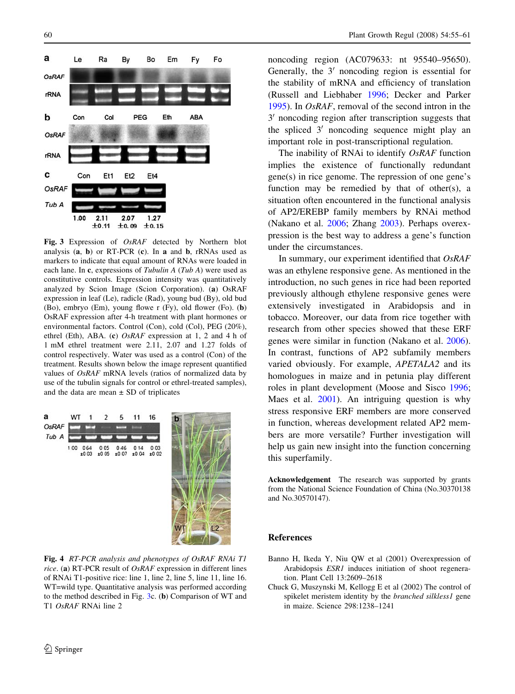<span id="page-5-0"></span>

Fig. 3 Expression of OsRAF detected by Northern blot analysis (a, b) or RT-PCR (c). In a and b, rRNAs used as markers to indicate that equal amount of RNAs were loaded in each lane. In  $c$ , expressions of Tubulin A (Tub A) were used as constitutive controls. Expression intensity was quantitatively analyzed by Scion Image (Scion Corporation). (a) OsRAF expression in leaf (Le), radicle (Rad), young bud (By), old bud (Bo), embryo (Em), young flowe r (Fy), old flower (Fo). (b) OsRAF expression after 4-h treatment with plant hormones or environmental factors. Control (Con), cold (Col), PEG (20%), ethrel (Eth), ABA. (c) OsRAF expression at 1, 2 and 4 h of 1 mM ethrel treatment were 2.11, 2.07 and 1.27 folds of control respectively. Water was used as a control (Con) of the treatment. Results shown below the image represent quantified values of OsRAF mRNA levels (ratios of normalized data by use of the tubulin signals for control or ethrel-treated samples), and the data are mean  $\pm$  SD of triplicates



Fig. 4 RT-PCR analysis and phenotypes of OsRAF RNAi T1 rice. (a) RT-PCR result of OsRAF expression in different lines of RNAi T1-positive rice: line 1, line 2, line 5, line 11, line 16. WT=wild type. Quantitative analysis was performed according to the method described in Fig. 3c. (b) Comparison of WT and T1 OsRAF RNAi line 2

noncoding region (AC079633: nt 95540–95650). Generally, the  $3'$  noncoding region is essential for the stability of mRNA and efficiency of translation (Russell and Liebhaber [1996](#page-6-0); Decker and Parker [1995\)](#page-6-0). In OsRAF, removal of the second intron in the  $3'$  noncoding region after transcription suggests that the spliced  $3'$  noncoding sequence might play an important role in post-transcriptional regulation.

The inability of RNAi to identify  $OsRAF$  function implies the existence of functionally redundant gene(s) in rice genome. The repression of one gene's function may be remedied by that of other(s), a situation often encountered in the functional analysis of AP2/EREBP family members by RNAi method (Nakano et al. [2006;](#page-6-0) Zhang [2003](#page-6-0)). Perhaps overexpression is the best way to address a gene's function under the circumstances.

In summary, our experiment identified that  $OsRAF$ was an ethylene responsive gene. As mentioned in the introduction, no such genes in rice had been reported previously although ethylene responsive genes were extensively investigated in Arabidopsis and in tobacco. Moreover, our data from rice together with research from other species showed that these ERF genes were similar in function (Nakano et al. [2006](#page-6-0)). In contrast, functions of AP2 subfamily members varied obviously. For example, APETALA2 and its homologues in maize and in petunia play different roles in plant development (Moose and Sisco [1996](#page-6-0); Maes et al. [2001\)](#page-6-0). An intriguing question is why stress responsive ERF members are more conserved in function, whereas development related AP2 members are more versatile? Further investigation will help us gain new insight into the function concerning this superfamily.

Acknowledgement The research was supported by grants from the National Science Foundation of China (No.30370138 and No.30570147).

# References

- Banno H, Ikeda Y, Niu QW et al (2001) Overexpression of Arabidopsis ESR1 induces initiation of shoot regeneration. Plant Cell 13:2609–2618
- Chuck G, Muszynski M, Kellogg E et al (2002) The control of spikelet meristem identity by the branched silkless1 gene in maize. Science 298:1238–1241